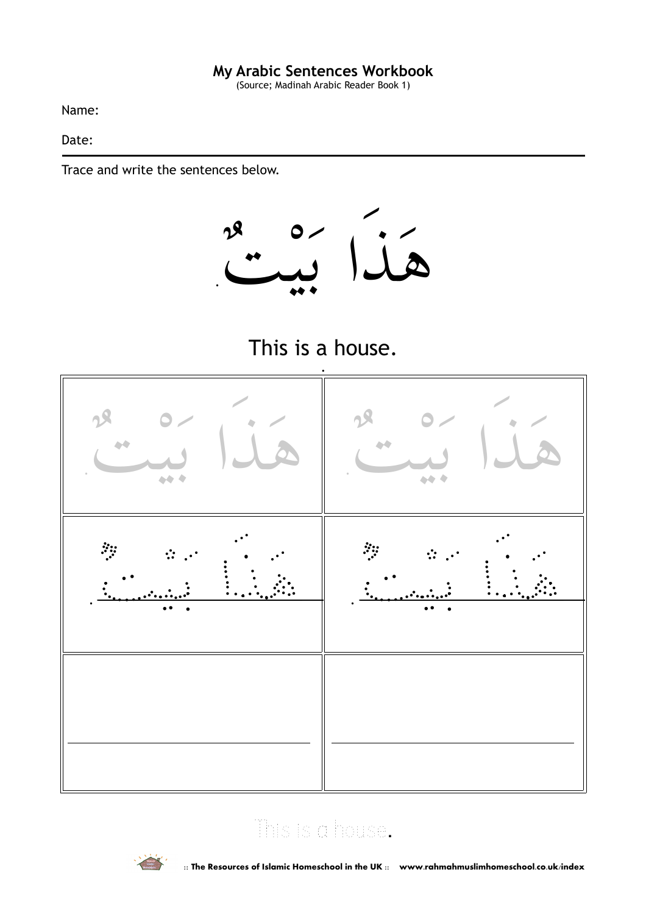(Source; Madinah Arabic Reader Book 1)

Name:

Date:

Trace and write the sentences below.







### This is a house.

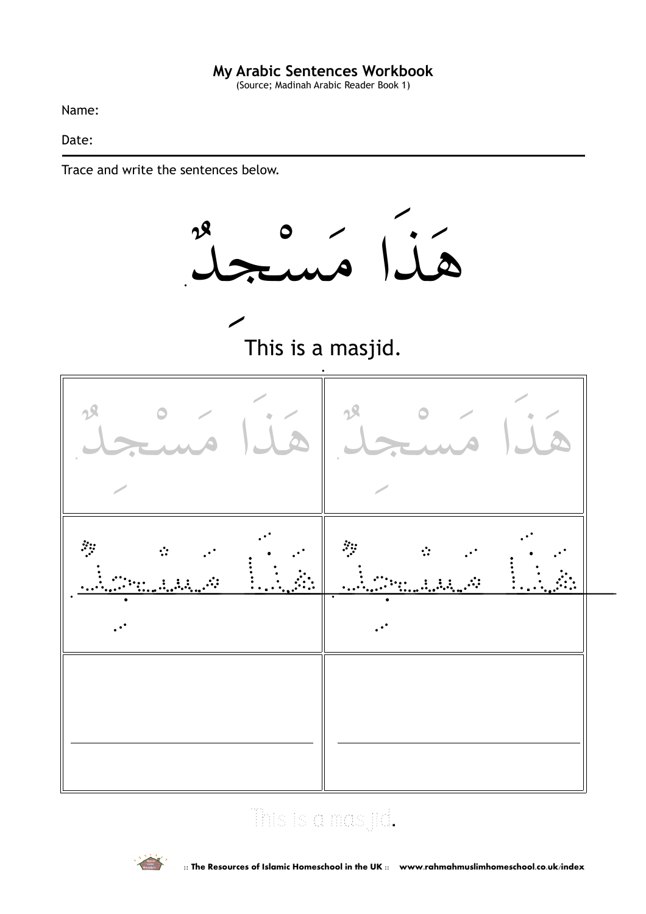(Source; Madinah Arabic Reader Book 1)

Name:

Date:

Trace and write the sentences below.



## This is a masjid.

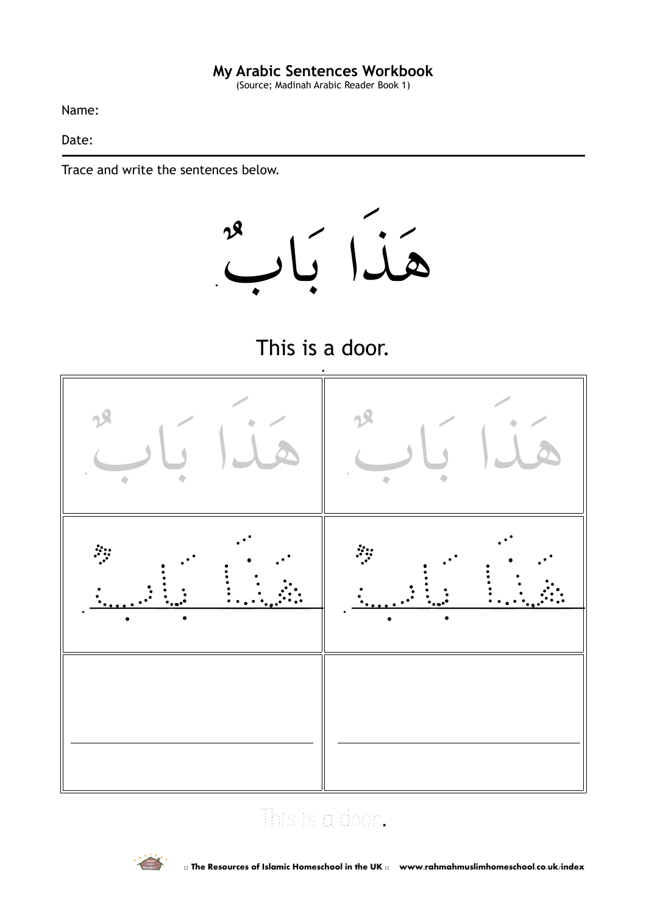(Source; Madinah Arabic Reader Book 1)

Name:

Date:

Trace and write the sentences below.







### This is a door.

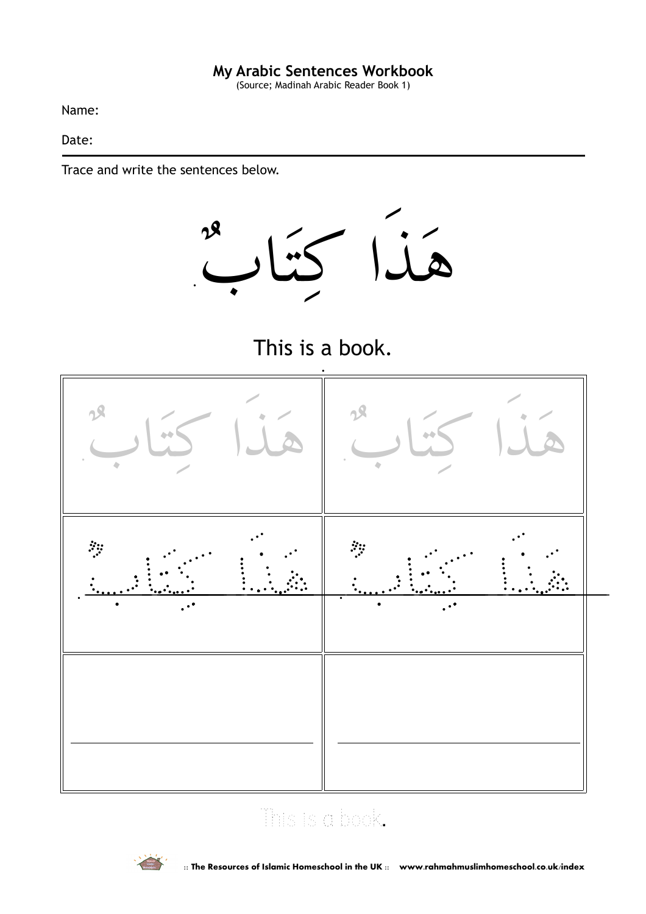(Source; Madinah Arabic Reader Book 1)

Name:

Date:

Trace and write the sentences below.



This is a book.



## This is a book.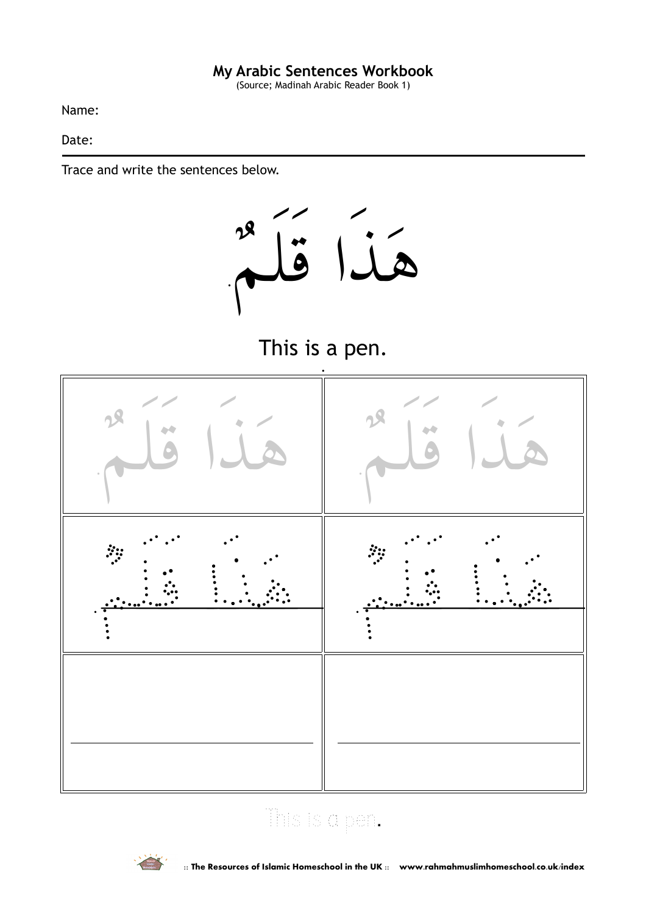(Source; Madinah Arabic Reader Book 1)

Name:

Date:

Trace and write the sentences below.



This is a pen.



## This is a pen.

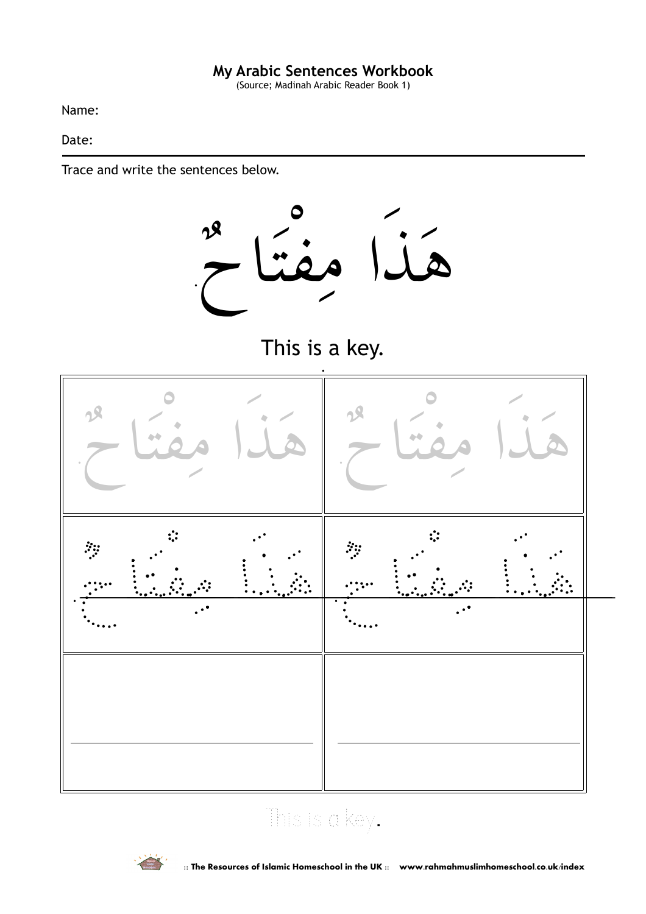(Source; Madinah Arabic Reader Book 1)

Name:

Date:

Trace and write the sentences below.



This is a key.



# This is a key.

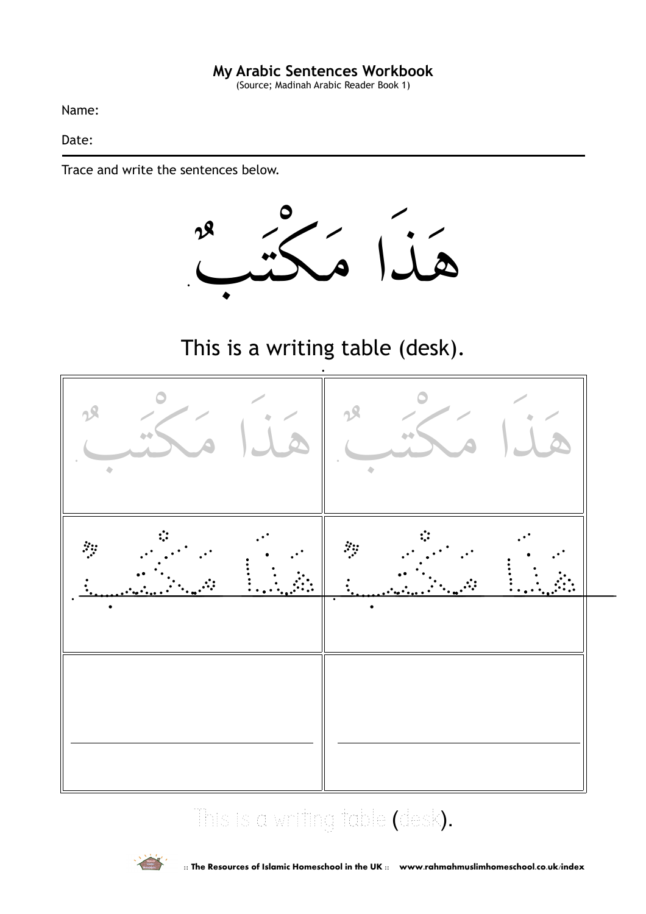(Source; Madinah Arabic Reader Book 1)

Name:

Date:

Trace and write the sentences below.



This is a writing table (desk).



## This is a writing table (desk).

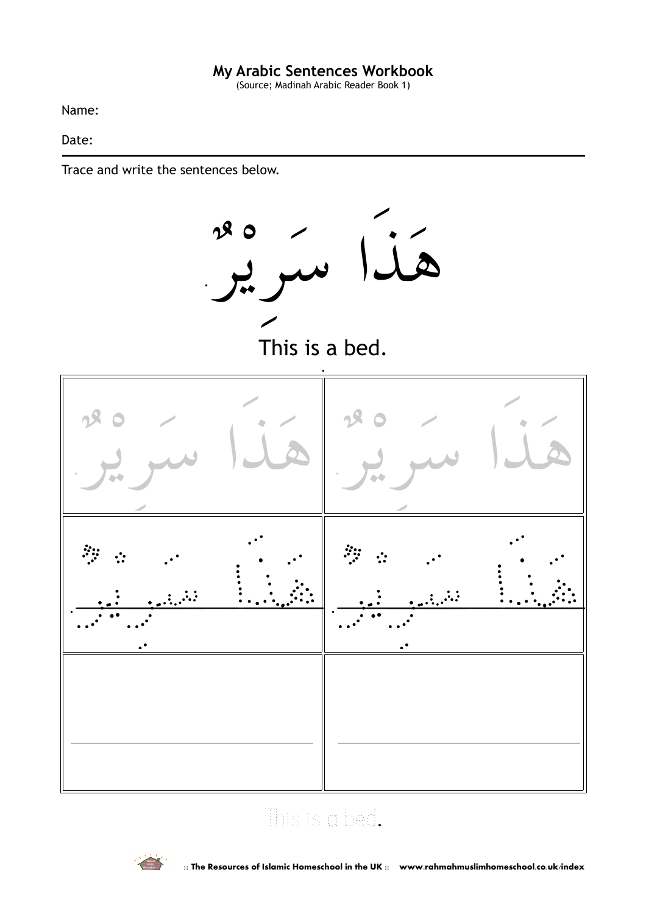(Source; Madinah Arabic Reader Book 1)

Name:

Date:

Trace and write the sentences below.



## This is a bed.

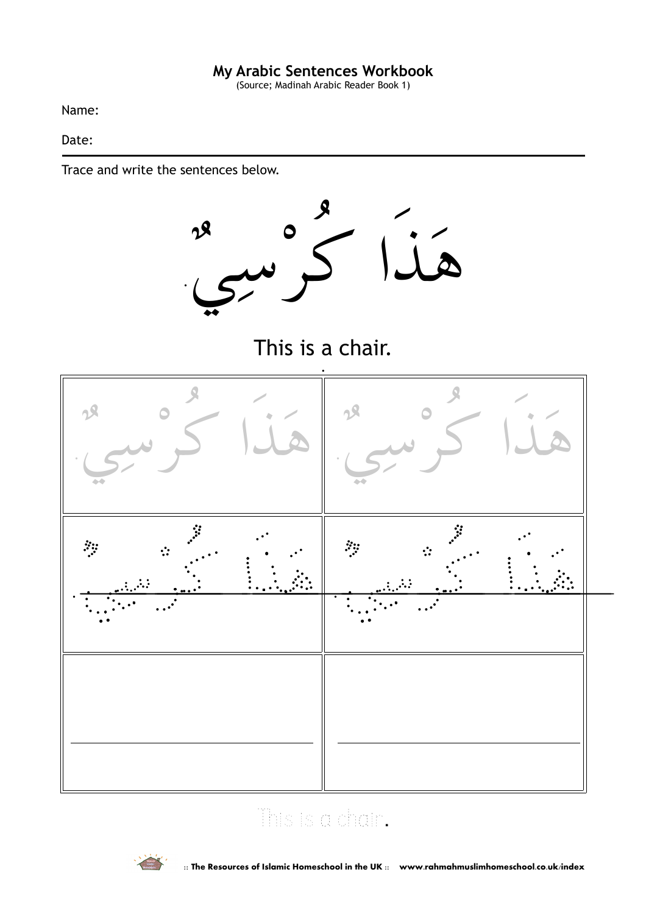(Source; Madinah Arabic Reader Book 1)

Name:

Date:

Trace and write the sentences below.



This is a chair.



## This is a chair.

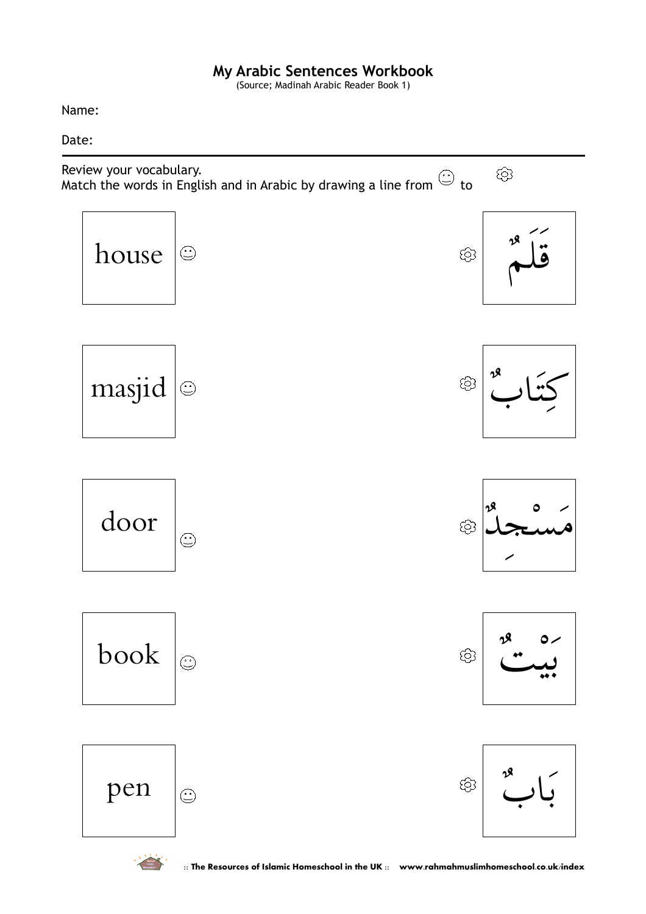(Source; Madinah Arabic Reader Book 1)

Name:

Date: